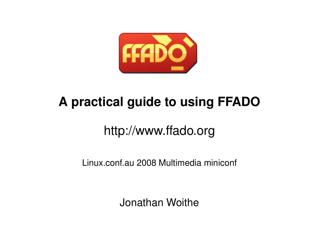

# **A practical guide to using FFADO**

# http://www.ffado.org

Linux.conf.au 2008 Multimedia miniconf

Jonathan Woithe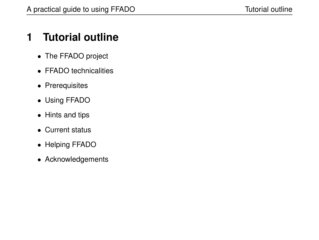# **1 Tutorial outline**

- The FFADO project
- FFADO technicalities
- Prerequisites
- Using FFADO
- Hints and tips
- Current status
- Helping FFADO
- Acknowledgements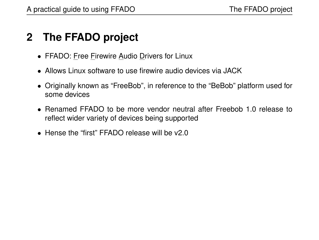# **2 The FFADO project**

- FFADO: Free Firewire Audio Drivers for Linux
- Allows Linux software to use firewire audio devices via JACK
- Originally known as "FreeBob", in reference to the "BeBob" platform used for some devices
- Renamed FFADO to be more vendor neutral after Freebob 1.0 release to reflect wider variety of devices being supported
- Hense the "first" FFADO release will be v2.0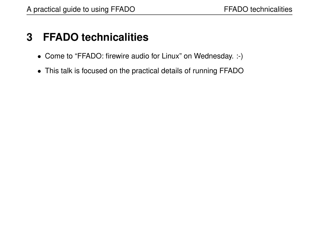# **3 FFADO technicalities**

- Come to "FFADO: firewire audio for Linux" on Wednesday. :-)
- This talk is focused on the practical details of running FFADO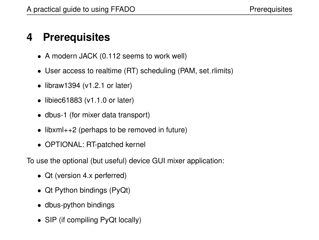# **4 Prerequisites**

- A modern JACK (0.112 seems to work well)
- User access to realtime (RT) scheduling (PAM, set\_rlimits)
- $\bullet$  libraw1394 (v1.2.1 or later)
- libiec61883 (v1.1.0 or later)
- dbus-1 (for mixer data transport)
- libxml++2 (perhaps to be removed in future)
- OPTIONAL: RT-patched kernel

To use the optional (but useful) device GUI mixer application:

- Qt (version 4.x perferred)
- Qt Python bindings (PyQt)
- dbus-python bindings
- SIP (if compiling PyQt locally)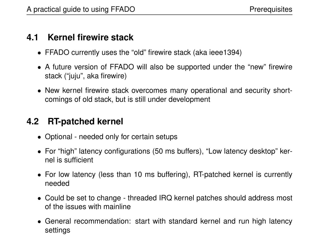#### **4.1 Kernel firewire stack**

- FFADO currently uses the "old" firewire stack (aka ieee1394)
- A future version of FFADO will also be supported under the "new" firewire stack ("juju", aka firewire)
- New kernel firewire stack overcomes many operational and security shortcomings of old stack, but is still under development

#### **4.2 RT-patched kernel**

- Optional needed only for certain setups
- For "high" latency configurations (50 ms buffers), "Low latency desktop" kernel is sufficient
- For low latency (less than 10 ms buffering), RT-patched kernel is currently needed
- Could be set to change threaded IRQ kernel patches should address most of the issues with mainline
- General recommendation: start with standard kernel and run high latency settings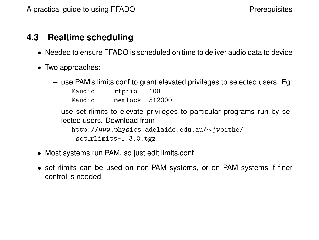#### **4.3 Realtime scheduling**

- Needed to ensure FFADO is scheduled on time to deliver audio data to device
- Two approaches:
	- **–** use PAM's limits.conf to grant elevated privileges to selected users. Eg: @audio - rtprio 100 @audio - memlock 512000
	- **–** use set rlimits to elevate privileges to particular programs run by selected users. Download from http://www.physics.adelaide.edu.au/∼jwoithe/ set\_rlimits-1.3.0.tgz
- Most systems run PAM, so just edit limits.conf
- set\_rlimits can be used on non-PAM systems, or on PAM systems if finer control is needed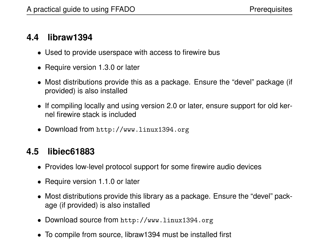#### **4.4 libraw1394**

- Used to provide userspace with access to firewire bus
- Require version 1.3.0 or later
- Most distributions provide this as a package. Ensure the "devel" package (if provided) is also installed
- If compiling locally and using version 2.0 or later, ensure support for old kernel firewire stack is included
- Download from http://www.linux1394.org

#### **4.5 libiec61883**

- Provides low-level protocol support for some firewire audio devices
- Require version 1.1.0 or later
- Most distributions provide this library as a package. Ensure the "devel" package (if provided) is also installed
- Download source from http://www.linux1394.org
- To compile from source, libraw1394 must be installed first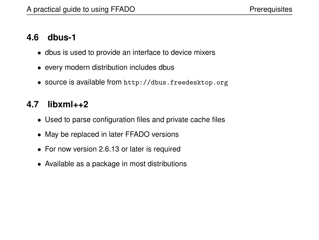#### **4.6 dbus-1**

- dbus is used to provide an interface to device mixers
- every modern distribution includes dbus
- source is available from http://dbus.freedesktop.org

#### **4.7 libxml++2**

- Used to parse configuration files and private cache files
- May be replaced in later FFADO versions
- For now version 2.6.13 or later is required
- Available as a package in most distributions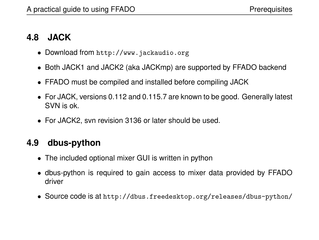#### **4.8 JACK**

- Download from http://www.jackaudio.org
- Both JACK1 and JACK2 (aka JACKmp) are supported by FFADO backend
- FFADO must be compiled and installed before compiling JACK
- For JACK, versions 0.112 and 0.115.7 are known to be good. Generally latest SVN is ok.
- For JACK2, svn revision 3136 or later should be used.

#### **4.9 dbus-python**

- The included optional mixer GUI is written in python
- dbus-python is required to gain access to mixer data provided by FFADO driver
- Source code is at http://dbus.freedesktop.org/releases/dbus-python/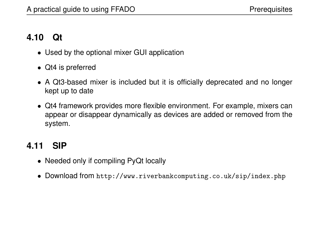#### **4.10 Qt**

- Used by the optional mixer GUI application
- Qt4 is preferred
- A Qt3-based mixer is included but it is officially deprecated and no longer kept up to date
- Qt4 framework provides more flexible environment. For example, mixers can appear or disappear dynamically as devices are added or removed from the system.

#### **4.11 SIP**

- Needed only if compiling PyQt locally
- Download from http://www.riverbankcomputing.co.uk/sip/index.php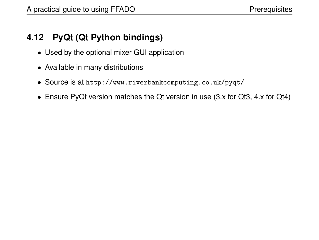#### **4.12 PyQt (Qt Python bindings)**

- Used by the optional mixer GUI application
- Available in many distributions
- Source is at http://www.riverbankcomputing.co.uk/pyqt/
- Ensure PyQt version matches the Qt version in use (3.x for Qt3, 4.x for Qt4)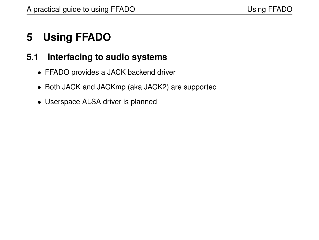# **5 Using FFADO**

#### **5.1 Interfacing to audio systems**

- FFADO provides a JACK backend driver
- Both JACK and JACKmp (aka JACK2) are supported
- Userspace ALSA driver is planned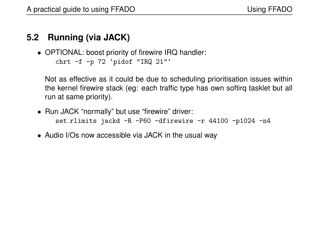#### **5.2 Running (via JACK)**

• OPTIONAL: boost priority of firewire IRQ handler: chrt -f -p 72 'pidof "IRQ 21"'

Not as effective as it could be due to scheduling prioritisation issues within the kernel firewire stack (eg: each traffic type has own softirq tasklet but all run at same priority).

- Run JACK "normally" but use "firewire" driver: set\_rlimits jackd -R -P60 -dfirewire -r 44100 -p1024 -n4
- Audio I/Os now accessible via JACK in the usual way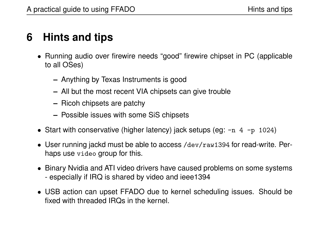# **6 Hints and tips**

- Running audio over firewire needs "good" firewire chipset in PC (applicable to all OSes)
	- **–** Anything by Texas Instruments is good
	- **–** All but the most recent VIA chipsets can give trouble
	- **–** Ricoh chipsets are patchy
	- **–** Possible issues with some SiS chipsets
- Start with conservative (higher latency) jack setups (eg:  $-n$  4  $-p$  1024)
- User running jackd must be able to access /dev/raw1394 for read-write. Perhaps use video group for this.
- Binary Nvidia and ATI video drivers have caused problems on some systems - especially if IRQ is shared by video and ieee1394
- USB action can upset FFADO due to kernel scheduling issues. Should be fixed with threaded IRQs in the kernel.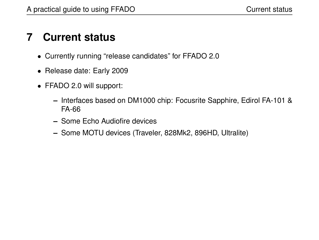# **7 Current status**

- Currently running "release candidates" for FFADO 2.0
- Release date: Early 2009
- FFADO 2.0 will support:
	- **–** Interfaces based on DM1000 chip: Focusrite Sapphire, Edirol FA-101 & FA-66
	- **–** Some Echo Audiofire devices
	- **–** Some MOTU devices (Traveler, 828Mk2, 896HD, Ultralite)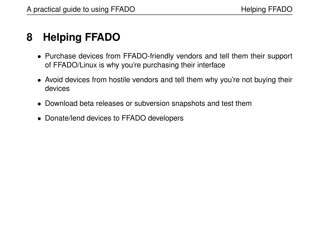# **8 Helping FFADO**

- Purchase devices from FFADO-friendly vendors and tell them their support of FFADO/Linux is why you're purchasing their interface
- Avoid devices from hostile vendors and tell them why you're not buying their devices
- Download beta releases or subversion snapshots and test them
- Donate/lend devices to FFADO developers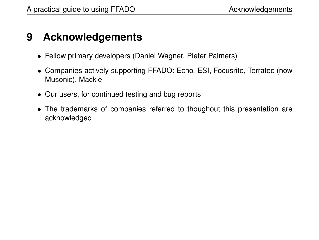### **9 Acknowledgements**

- Fellow primary developers (Daniel Wagner, Pieter Palmers)
- Companies actively supporting FFADO: Echo, ESI, Focusrite, Terratec (now Musonic), Mackie
- Our users, for continued testing and bug reports
- The trademarks of companies referred to thoughout this presentation are acknowledged